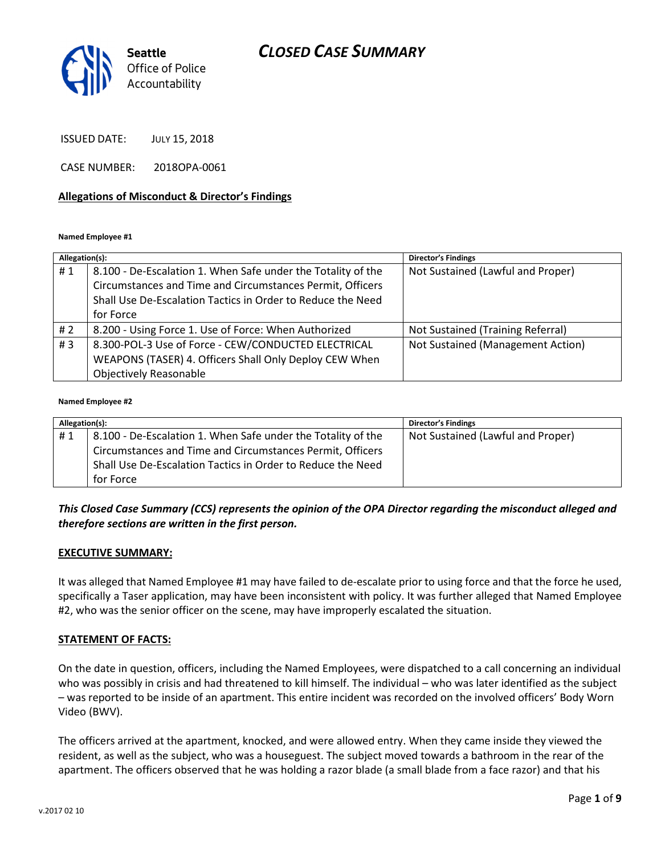## CLOSED CASE SUMMARY



ISSUED DATE: JULY 15, 2018

CASE NUMBER: 2018OPA-0061

#### Allegations of Misconduct & Director's Findings

#### Named Employee #1

| Allegation(s): |                                                              | <b>Director's Findings</b>        |
|----------------|--------------------------------------------------------------|-----------------------------------|
| #1             | 8.100 - De-Escalation 1. When Safe under the Totality of the | Not Sustained (Lawful and Proper) |
|                | Circumstances and Time and Circumstances Permit, Officers    |                                   |
|                | Shall Use De-Escalation Tactics in Order to Reduce the Need  |                                   |
|                | for Force                                                    |                                   |
| #2             | 8.200 - Using Force 1. Use of Force: When Authorized         | Not Sustained (Training Referral) |
| #3             | 8.300-POL-3 Use of Force - CEW/CONDUCTED ELECTRICAL          | Not Sustained (Management Action) |
|                | WEAPONS (TASER) 4. Officers Shall Only Deploy CEW When       |                                   |
|                | <b>Objectively Reasonable</b>                                |                                   |

#### Named Employee #2

| Allegation(s): |                                                              | <b>Director's Findings</b>        |
|----------------|--------------------------------------------------------------|-----------------------------------|
| #1             | 8.100 - De-Escalation 1. When Safe under the Totality of the | Not Sustained (Lawful and Proper) |
|                | Circumstances and Time and Circumstances Permit, Officers    |                                   |
|                | Shall Use De-Escalation Tactics in Order to Reduce the Need  |                                   |
|                | for Force                                                    |                                   |

### This Closed Case Summary (CCS) represents the opinion of the OPA Director regarding the misconduct alleged and therefore sections are written in the first person.

#### EXECUTIVE SUMMARY:

It was alleged that Named Employee #1 may have failed to de-escalate prior to using force and that the force he used, specifically a Taser application, may have been inconsistent with policy. It was further alleged that Named Employee #2, who was the senior officer on the scene, may have improperly escalated the situation.

#### STATEMENT OF FACTS:

On the date in question, officers, including the Named Employees, were dispatched to a call concerning an individual who was possibly in crisis and had threatened to kill himself. The individual – who was later identified as the subject – was reported to be inside of an apartment. This entire incident was recorded on the involved officers' Body Worn Video (BWV).

The officers arrived at the apartment, knocked, and were allowed entry. When they came inside they viewed the resident, as well as the subject, who was a houseguest. The subject moved towards a bathroom in the rear of the apartment. The officers observed that he was holding a razor blade (a small blade from a face razor) and that his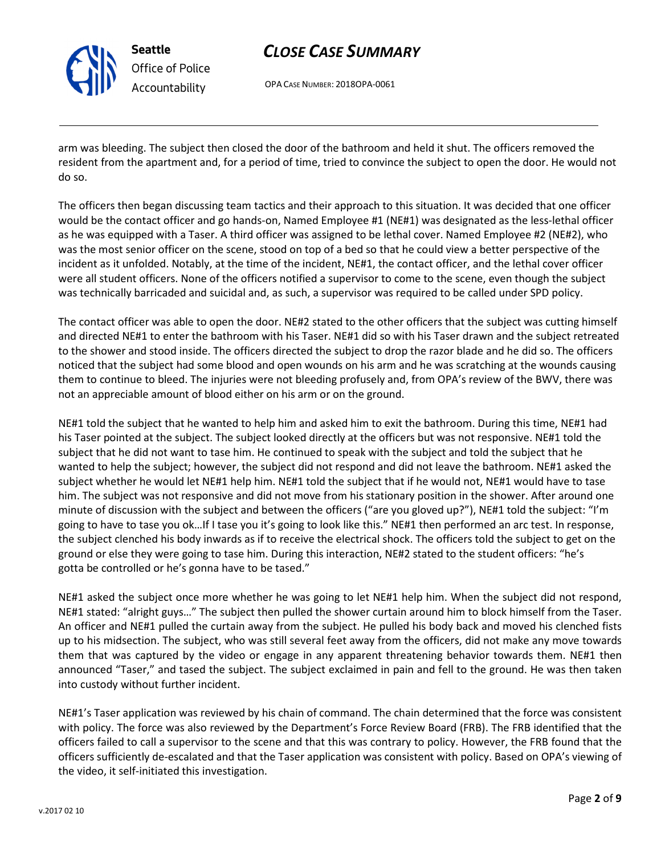

# CLOSE CASE SUMMARY

OPA CASE NUMBER: 2018OPA-0061

arm was bleeding. The subject then closed the door of the bathroom and held it shut. The officers removed the resident from the apartment and, for a period of time, tried to convince the subject to open the door. He would not do so.

The officers then began discussing team tactics and their approach to this situation. It was decided that one officer would be the contact officer and go hands-on, Named Employee #1 (NE#1) was designated as the less-lethal officer as he was equipped with a Taser. A third officer was assigned to be lethal cover. Named Employee #2 (NE#2), who was the most senior officer on the scene, stood on top of a bed so that he could view a better perspective of the incident as it unfolded. Notably, at the time of the incident, NE#1, the contact officer, and the lethal cover officer were all student officers. None of the officers notified a supervisor to come to the scene, even though the subject was technically barricaded and suicidal and, as such, a supervisor was required to be called under SPD policy.

The contact officer was able to open the door. NE#2 stated to the other officers that the subject was cutting himself and directed NE#1 to enter the bathroom with his Taser. NE#1 did so with his Taser drawn and the subject retreated to the shower and stood inside. The officers directed the subject to drop the razor blade and he did so. The officers noticed that the subject had some blood and open wounds on his arm and he was scratching at the wounds causing them to continue to bleed. The injuries were not bleeding profusely and, from OPA's review of the BWV, there was not an appreciable amount of blood either on his arm or on the ground.

NE#1 told the subject that he wanted to help him and asked him to exit the bathroom. During this time, NE#1 had his Taser pointed at the subject. The subject looked directly at the officers but was not responsive. NE#1 told the subject that he did not want to tase him. He continued to speak with the subject and told the subject that he wanted to help the subject; however, the subject did not respond and did not leave the bathroom. NE#1 asked the subject whether he would let NE#1 help him. NE#1 told the subject that if he would not, NE#1 would have to tase him. The subject was not responsive and did not move from his stationary position in the shower. After around one minute of discussion with the subject and between the officers ("are you gloved up?"), NE#1 told the subject: "I'm going to have to tase you ok…If I tase you it's going to look like this." NE#1 then performed an arc test. In response, the subject clenched his body inwards as if to receive the electrical shock. The officers told the subject to get on the ground or else they were going to tase him. During this interaction, NE#2 stated to the student officers: "he's gotta be controlled or he's gonna have to be tased."

NE#1 asked the subject once more whether he was going to let NE#1 help him. When the subject did not respond, NE#1 stated: "alright guys…" The subject then pulled the shower curtain around him to block himself from the Taser. An officer and NE#1 pulled the curtain away from the subject. He pulled his body back and moved his clenched fists up to his midsection. The subject, who was still several feet away from the officers, did not make any move towards them that was captured by the video or engage in any apparent threatening behavior towards them. NE#1 then announced "Taser," and tased the subject. The subject exclaimed in pain and fell to the ground. He was then taken into custody without further incident.

NE#1's Taser application was reviewed by his chain of command. The chain determined that the force was consistent with policy. The force was also reviewed by the Department's Force Review Board (FRB). The FRB identified that the officers failed to call a supervisor to the scene and that this was contrary to policy. However, the FRB found that the officers sufficiently de-escalated and that the Taser application was consistent with policy. Based on OPA's viewing of the video, it self-initiated this investigation.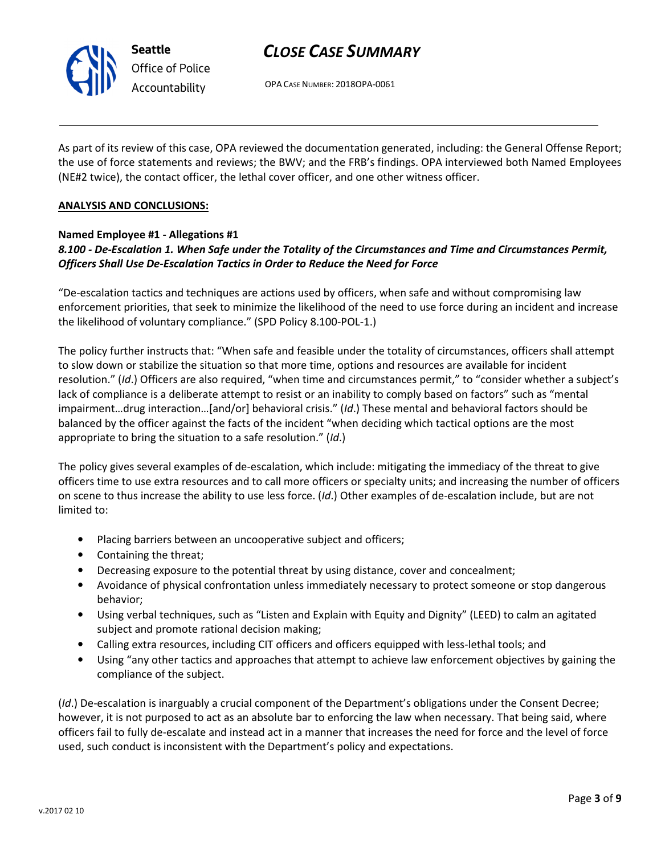

# CLOSE CASE SUMMARY

OPA CASE NUMBER: 2018OPA-0061

As part of its review of this case, OPA reviewed the documentation generated, including: the General Offense Report; the use of force statements and reviews; the BWV; and the FRB's findings. OPA interviewed both Named Employees (NE#2 twice), the contact officer, the lethal cover officer, and one other witness officer.

#### ANALYSIS AND CONCLUSIONS:

#### Named Employee #1 - Allegations #1

## 8.100 - De-Escalation 1. When Safe under the Totality of the Circumstances and Time and Circumstances Permit, Officers Shall Use De-Escalation Tactics in Order to Reduce the Need for Force

"De-escalation tactics and techniques are actions used by officers, when safe and without compromising law enforcement priorities, that seek to minimize the likelihood of the need to use force during an incident and increase the likelihood of voluntary compliance." (SPD Policy 8.100-POL-1.)

The policy further instructs that: "When safe and feasible under the totality of circumstances, officers shall attempt to slow down or stabilize the situation so that more time, options and resources are available for incident resolution." (Id.) Officers are also required, "when time and circumstances permit," to "consider whether a subject's lack of compliance is a deliberate attempt to resist or an inability to comply based on factors" such as "mental impairment…drug interaction…[and/or] behavioral crisis." (Id.) These mental and behavioral factors should be balanced by the officer against the facts of the incident "when deciding which tactical options are the most appropriate to bring the situation to a safe resolution." (Id.)

The policy gives several examples of de-escalation, which include: mitigating the immediacy of the threat to give officers time to use extra resources and to call more officers or specialty units; and increasing the number of officers on scene to thus increase the ability to use less force. (Id.) Other examples of de-escalation include, but are not limited to:

- Placing barriers between an uncooperative subject and officers;
- Containing the threat;
- Decreasing exposure to the potential threat by using distance, cover and concealment;
- Avoidance of physical confrontation unless immediately necessary to protect someone or stop dangerous behavior;
- Using verbal techniques, such as "Listen and Explain with Equity and Dignity" (LEED) to calm an agitated subject and promote rational decision making;
- Calling extra resources, including CIT officers and officers equipped with less-lethal tools; and
- Using "any other tactics and approaches that attempt to achieve law enforcement objectives by gaining the compliance of the subject.

(Id.) De-escalation is inarguably a crucial component of the Department's obligations under the Consent Decree; however, it is not purposed to act as an absolute bar to enforcing the law when necessary. That being said, where officers fail to fully de-escalate and instead act in a manner that increases the need for force and the level of force used, such conduct is inconsistent with the Department's policy and expectations.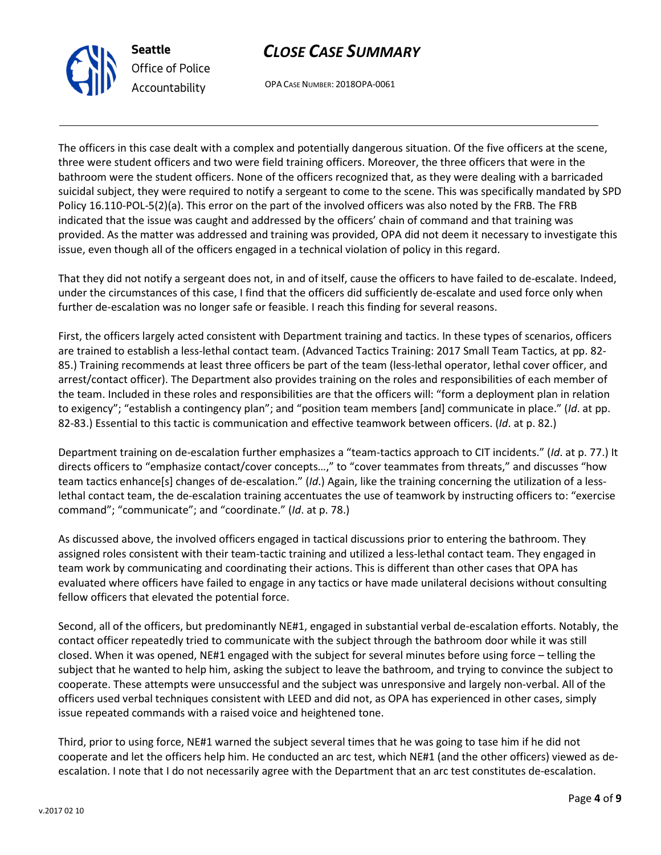

# CLOSE CASE SUMMARY

OPA CASE NUMBER: 2018OPA-0061

The officers in this case dealt with a complex and potentially dangerous situation. Of the five officers at the scene, three were student officers and two were field training officers. Moreover, the three officers that were in the bathroom were the student officers. None of the officers recognized that, as they were dealing with a barricaded suicidal subject, they were required to notify a sergeant to come to the scene. This was specifically mandated by SPD Policy 16.110-POL-5(2)(a). This error on the part of the involved officers was also noted by the FRB. The FRB indicated that the issue was caught and addressed by the officers' chain of command and that training was provided. As the matter was addressed and training was provided, OPA did not deem it necessary to investigate this issue, even though all of the officers engaged in a technical violation of policy in this regard.

That they did not notify a sergeant does not, in and of itself, cause the officers to have failed to de-escalate. Indeed, under the circumstances of this case, I find that the officers did sufficiently de-escalate and used force only when further de-escalation was no longer safe or feasible. I reach this finding for several reasons.

First, the officers largely acted consistent with Department training and tactics. In these types of scenarios, officers are trained to establish a less-lethal contact team. (Advanced Tactics Training: 2017 Small Team Tactics, at pp. 82- 85.) Training recommends at least three officers be part of the team (less-lethal operator, lethal cover officer, and arrest/contact officer). The Department also provides training on the roles and responsibilities of each member of the team. Included in these roles and responsibilities are that the officers will: "form a deployment plan in relation to exigency"; "establish a contingency plan"; and "position team members [and] communicate in place." (Id. at pp. 82-83.) Essential to this tactic is communication and effective teamwork between officers. (Id. at p. 82.)

Department training on de-escalation further emphasizes a "team-tactics approach to CIT incidents." (Id. at p. 77.) It directs officers to "emphasize contact/cover concepts…," to "cover teammates from threats," and discusses "how team tactics enhance[s] changes of de-escalation." (Id.) Again, like the training concerning the utilization of a lesslethal contact team, the de-escalation training accentuates the use of teamwork by instructing officers to: "exercise command"; "communicate"; and "coordinate." (Id. at p. 78.)

As discussed above, the involved officers engaged in tactical discussions prior to entering the bathroom. They assigned roles consistent with their team-tactic training and utilized a less-lethal contact team. They engaged in team work by communicating and coordinating their actions. This is different than other cases that OPA has evaluated where officers have failed to engage in any tactics or have made unilateral decisions without consulting fellow officers that elevated the potential force.

Second, all of the officers, but predominantly NE#1, engaged in substantial verbal de-escalation efforts. Notably, the contact officer repeatedly tried to communicate with the subject through the bathroom door while it was still closed. When it was opened, NE#1 engaged with the subject for several minutes before using force – telling the subject that he wanted to help him, asking the subject to leave the bathroom, and trying to convince the subject to cooperate. These attempts were unsuccessful and the subject was unresponsive and largely non-verbal. All of the officers used verbal techniques consistent with LEED and did not, as OPA has experienced in other cases, simply issue repeated commands with a raised voice and heightened tone.

Third, prior to using force, NE#1 warned the subject several times that he was going to tase him if he did not cooperate and let the officers help him. He conducted an arc test, which NE#1 (and the other officers) viewed as deescalation. I note that I do not necessarily agree with the Department that an arc test constitutes de-escalation.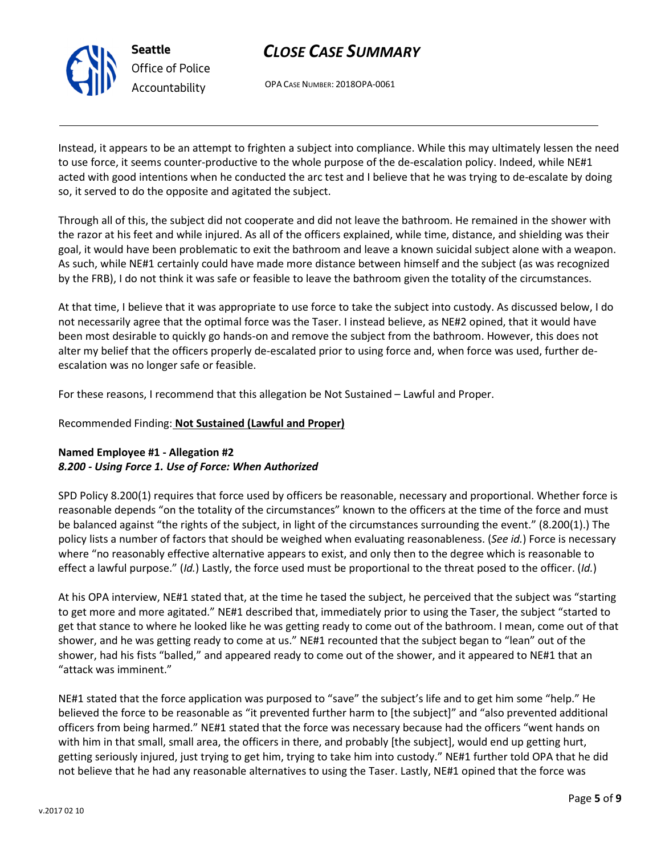

# CLOSE CASE SUMMARY

OPA CASE NUMBER: 2018OPA-0061

Instead, it appears to be an attempt to frighten a subject into compliance. While this may ultimately lessen the need to use force, it seems counter-productive to the whole purpose of the de-escalation policy. Indeed, while NE#1 acted with good intentions when he conducted the arc test and I believe that he was trying to de-escalate by doing so, it served to do the opposite and agitated the subject.

Through all of this, the subject did not cooperate and did not leave the bathroom. He remained in the shower with the razor at his feet and while injured. As all of the officers explained, while time, distance, and shielding was their goal, it would have been problematic to exit the bathroom and leave a known suicidal subject alone with a weapon. As such, while NE#1 certainly could have made more distance between himself and the subject (as was recognized by the FRB), I do not think it was safe or feasible to leave the bathroom given the totality of the circumstances.

At that time, I believe that it was appropriate to use force to take the subject into custody. As discussed below, I do not necessarily agree that the optimal force was the Taser. I instead believe, as NE#2 opined, that it would have been most desirable to quickly go hands-on and remove the subject from the bathroom. However, this does not alter my belief that the officers properly de-escalated prior to using force and, when force was used, further deescalation was no longer safe or feasible.

For these reasons, I recommend that this allegation be Not Sustained – Lawful and Proper.

### Recommended Finding: Not Sustained (Lawful and Proper)

### Named Employee #1 - Allegation #2 8.200 - Using Force 1. Use of Force: When Authorized

SPD Policy 8.200(1) requires that force used by officers be reasonable, necessary and proportional. Whether force is reasonable depends "on the totality of the circumstances" known to the officers at the time of the force and must be balanced against "the rights of the subject, in light of the circumstances surrounding the event." (8.200(1).) The policy lists a number of factors that should be weighed when evaluating reasonableness. (See id.) Force is necessary where "no reasonably effective alternative appears to exist, and only then to the degree which is reasonable to effect a lawful purpose." (Id.) Lastly, the force used must be proportional to the threat posed to the officer. (Id.)

At his OPA interview, NE#1 stated that, at the time he tased the subject, he perceived that the subject was "starting to get more and more agitated." NE#1 described that, immediately prior to using the Taser, the subject "started to get that stance to where he looked like he was getting ready to come out of the bathroom. I mean, come out of that shower, and he was getting ready to come at us." NE#1 recounted that the subject began to "lean" out of the shower, had his fists "balled," and appeared ready to come out of the shower, and it appeared to NE#1 that an "attack was imminent."

NE#1 stated that the force application was purposed to "save" the subject's life and to get him some "help." He believed the force to be reasonable as "it prevented further harm to [the subject]" and "also prevented additional officers from being harmed." NE#1 stated that the force was necessary because had the officers "went hands on with him in that small, small area, the officers in there, and probably [the subject], would end up getting hurt, getting seriously injured, just trying to get him, trying to take him into custody." NE#1 further told OPA that he did not believe that he had any reasonable alternatives to using the Taser. Lastly, NE#1 opined that the force was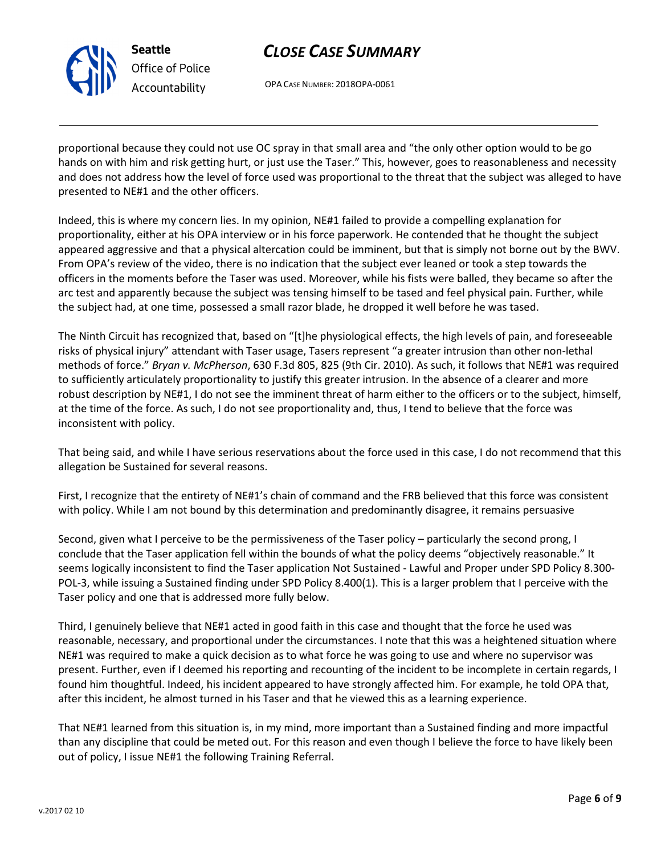

# CLOSE CASE SUMMARY

OPA CASE NUMBER: 2018OPA-0061

proportional because they could not use OC spray in that small area and "the only other option would to be go hands on with him and risk getting hurt, or just use the Taser." This, however, goes to reasonableness and necessity and does not address how the level of force used was proportional to the threat that the subject was alleged to have presented to NE#1 and the other officers.

Indeed, this is where my concern lies. In my opinion, NE#1 failed to provide a compelling explanation for proportionality, either at his OPA interview or in his force paperwork. He contended that he thought the subject appeared aggressive and that a physical altercation could be imminent, but that is simply not borne out by the BWV. From OPA's review of the video, there is no indication that the subject ever leaned or took a step towards the officers in the moments before the Taser was used. Moreover, while his fists were balled, they became so after the arc test and apparently because the subject was tensing himself to be tased and feel physical pain. Further, while the subject had, at one time, possessed a small razor blade, he dropped it well before he was tased.

The Ninth Circuit has recognized that, based on "[t]he physiological effects, the high levels of pain, and foreseeable risks of physical injury" attendant with Taser usage, Tasers represent "a greater intrusion than other non-lethal methods of force." Bryan v. McPherson, 630 F.3d 805, 825 (9th Cir. 2010). As such, it follows that NE#1 was required to sufficiently articulately proportionality to justify this greater intrusion. In the absence of a clearer and more robust description by NE#1, I do not see the imminent threat of harm either to the officers or to the subject, himself, at the time of the force. As such, I do not see proportionality and, thus, I tend to believe that the force was inconsistent with policy.

That being said, and while I have serious reservations about the force used in this case, I do not recommend that this allegation be Sustained for several reasons.

First, I recognize that the entirety of NE#1's chain of command and the FRB believed that this force was consistent with policy. While I am not bound by this determination and predominantly disagree, it remains persuasive

Second, given what I perceive to be the permissiveness of the Taser policy – particularly the second prong, I conclude that the Taser application fell within the bounds of what the policy deems "objectively reasonable." It seems logically inconsistent to find the Taser application Not Sustained - Lawful and Proper under SPD Policy 8.300- POL-3, while issuing a Sustained finding under SPD Policy 8.400(1). This is a larger problem that I perceive with the Taser policy and one that is addressed more fully below.

Third, I genuinely believe that NE#1 acted in good faith in this case and thought that the force he used was reasonable, necessary, and proportional under the circumstances. I note that this was a heightened situation where NE#1 was required to make a quick decision as to what force he was going to use and where no supervisor was present. Further, even if I deemed his reporting and recounting of the incident to be incomplete in certain regards, I found him thoughtful. Indeed, his incident appeared to have strongly affected him. For example, he told OPA that, after this incident, he almost turned in his Taser and that he viewed this as a learning experience.

That NE#1 learned from this situation is, in my mind, more important than a Sustained finding and more impactful than any discipline that could be meted out. For this reason and even though I believe the force to have likely been out of policy, I issue NE#1 the following Training Referral.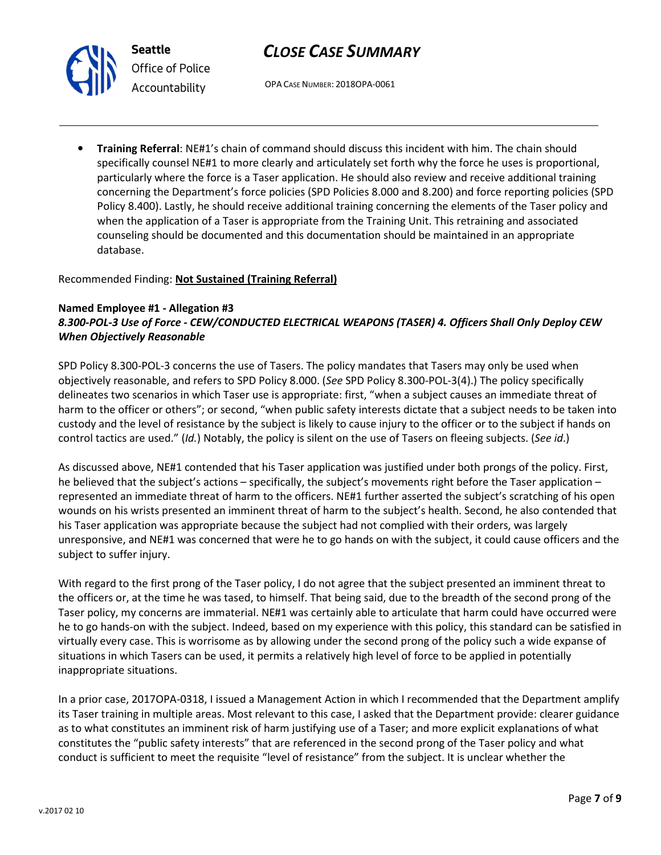

# CLOSE CASE SUMMARY

OPA CASE NUMBER: 2018OPA-0061

• Training Referral: NE#1's chain of command should discuss this incident with him. The chain should specifically counsel NE#1 to more clearly and articulately set forth why the force he uses is proportional, particularly where the force is a Taser application. He should also review and receive additional training concerning the Department's force policies (SPD Policies 8.000 and 8.200) and force reporting policies (SPD Policy 8.400). Lastly, he should receive additional training concerning the elements of the Taser policy and when the application of a Taser is appropriate from the Training Unit. This retraining and associated counseling should be documented and this documentation should be maintained in an appropriate database.

### Recommended Finding: Not Sustained (Training Referral)

### Named Employee #1 - Allegation #3 8.300-POL-3 Use of Force - CEW/CONDUCTED ELECTRICAL WEAPONS (TASER) 4. Officers Shall Only Deploy CEW When Objectively Reasonable

SPD Policy 8.300-POL-3 concerns the use of Tasers. The policy mandates that Tasers may only be used when objectively reasonable, and refers to SPD Policy 8.000. (See SPD Policy 8.300-POL-3(4).) The policy specifically delineates two scenarios in which Taser use is appropriate: first, "when a subject causes an immediate threat of harm to the officer or others"; or second, "when public safety interests dictate that a subject needs to be taken into custody and the level of resistance by the subject is likely to cause injury to the officer or to the subject if hands on control tactics are used." (Id.) Notably, the policy is silent on the use of Tasers on fleeing subjects. (See id.)

As discussed above, NE#1 contended that his Taser application was justified under both prongs of the policy. First, he believed that the subject's actions – specifically, the subject's movements right before the Taser application – represented an immediate threat of harm to the officers. NE#1 further asserted the subject's scratching of his open wounds on his wrists presented an imminent threat of harm to the subject's health. Second, he also contended that his Taser application was appropriate because the subject had not complied with their orders, was largely unresponsive, and NE#1 was concerned that were he to go hands on with the subject, it could cause officers and the subject to suffer injury.

With regard to the first prong of the Taser policy, I do not agree that the subject presented an imminent threat to the officers or, at the time he was tased, to himself. That being said, due to the breadth of the second prong of the Taser policy, my concerns are immaterial. NE#1 was certainly able to articulate that harm could have occurred were he to go hands-on with the subject. Indeed, based on my experience with this policy, this standard can be satisfied in virtually every case. This is worrisome as by allowing under the second prong of the policy such a wide expanse of situations in which Tasers can be used, it permits a relatively high level of force to be applied in potentially inappropriate situations.

In a prior case, 2017OPA-0318, I issued a Management Action in which I recommended that the Department amplify its Taser training in multiple areas. Most relevant to this case, I asked that the Department provide: clearer guidance as to what constitutes an imminent risk of harm justifying use of a Taser; and more explicit explanations of what constitutes the "public safety interests" that are referenced in the second prong of the Taser policy and what conduct is sufficient to meet the requisite "level of resistance" from the subject. It is unclear whether the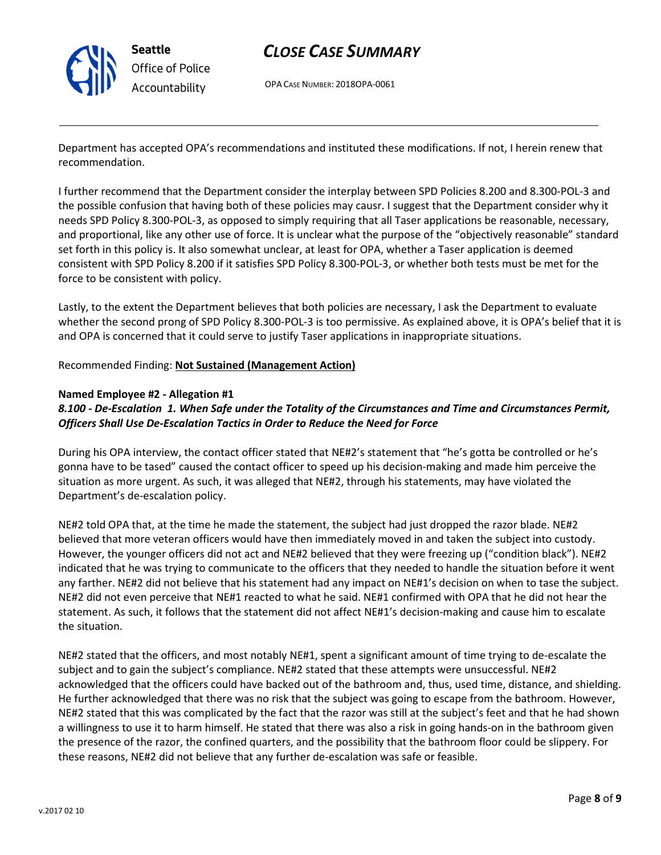

# CLOSE CASE SUMMARY

OPA CASE NUMBER: 2018OPA-0061

Department has accepted OPA's recommendations and instituted these modifications. If not, I herein renew that recommendation.

I further recommend that the Department consider the interplay between SPD Policies 8.200 and 8.300-POL-3 and the possible confusion that having both of these policies may causr. I suggest that the Department consider why it needs SPD Policy 8.300-POL-3, as opposed to simply requiring that all Taser applications be reasonable, necessary, and proportional, like any other use of force. It is unclear what the purpose of the "objectively reasonable" standard set forth in this policy is. It also somewhat unclear, at least for OPA, whether a Taser application is deemed consistent with SPD Policy 8.200 if it satisfies SPD Policy 8.300-POL-3, or whether both tests must be met for the force to be consistent with policy.

Lastly, to the extent the Department believes that both policies are necessary, I ask the Department to evaluate whether the second prong of SPD Policy 8.300-POL-3 is too permissive. As explained above, it is OPA's belief that it is and OPA is concerned that it could serve to justify Taser applications in inappropriate situations.

### Recommended Finding: Not Sustained (Management Action)

#### Named Employee #2 - Allegation #1

### 8.100 - De-Escalation 1. When Safe under the Totality of the Circumstances and Time and Circumstances Permit, Officers Shall Use De-Escalation Tactics in Order to Reduce the Need for Force

During his OPA interview, the contact officer stated that NE#2's statement that "he's gotta be controlled or he's gonna have to be tased" caused the contact officer to speed up his decision-making and made him perceive the situation as more urgent. As such, it was alleged that NE#2, through his statements, may have violated the Department's de-escalation policy.

NE#2 told OPA that, at the time he made the statement, the subject had just dropped the razor blade. NE#2 believed that more veteran officers would have then immediately moved in and taken the subject into custody. However, the younger officers did not act and NE#2 believed that they were freezing up ("condition black"). NE#2 indicated that he was trying to communicate to the officers that they needed to handle the situation before it went any farther. NE#2 did not believe that his statement had any impact on NE#1's decision on when to tase the subject. NE#2 did not even perceive that NE#1 reacted to what he said. NE#1 confirmed with OPA that he did not hear the statement. As such, it follows that the statement did not affect NE#1's decision-making and cause him to escalate the situation.

NE#2 stated that the officers, and most notably NE#1, spent a significant amount of time trying to de-escalate the subject and to gain the subject's compliance. NE#2 stated that these attempts were unsuccessful. NE#2 acknowledged that the officers could have backed out of the bathroom and, thus, used time, distance, and shielding. He further acknowledged that there was no risk that the subject was going to escape from the bathroom. However, NE#2 stated that this was complicated by the fact that the razor was still at the subject's feet and that he had shown a willingness to use it to harm himself. He stated that there was also a risk in going hands-on in the bathroom given the presence of the razor, the confined quarters, and the possibility that the bathroom floor could be slippery. For these reasons, NE#2 did not believe that any further de-escalation was safe or feasible.